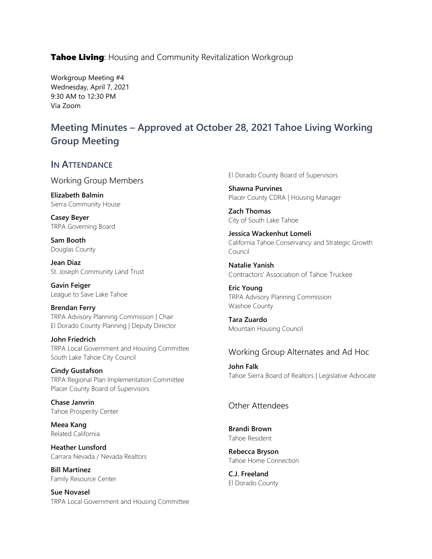**Tahoe Living:** Housing and Community Revitalization Workgroup

Workgroup Meeting #4 Wednesday, April 7, 2021 9:30 AM to 12:30 PM Via Zoom

# **Meeting Minutes – Approved at October 28, 2021 Tahoe Living Working Group Meeting**

#### **IN ATTENDANCE**

Working Group Members

**Elizabeth Balmin** Sierra Community House

**Casey Beyer** TRPA Governing Board

**Sam Booth** Douglas County

**Jean Diaz** St. Joseph Community Land Trust

**Gavin Feiger** League to Save Lake Tahoe

**Brendan Ferry** TRPA Advisory Planning Commission | Chair El Dorado County Planning | Deputy Director

**John Friedrich** TRPA Local Government and Housing Committee South Lake Tahoe City Council

**Cindy Gustafson** TRPA Regional Plan Implementation Committee Placer County Board of Supervisors

**Chase Janvrin** Tahoe Prosperity Center

**Meea Kang** Related California

**Heather Lunsford** Carrara Nevada / Nevada Realtors

**Bill Martinez** Family Resource Center

**Sue Novasel** TRPA Local Government and Housing Committee El Dorado County Board of Supervisors

**Shawna Purvines** Placer County CDRA | Housing Manager

**Zach Thomas** City of South Lake Tahoe

**Jessica Wackenhut Lomeli** California Tahoe Conservancy and Strategic Growth Council

**Natalie Yanish** Contractors' Association of Tahoe Truckee

**Eric Young** TRPA Advisory Planning Commission Washoe County

**Tara Zuardo** Mountain Housing Council

#### Working Group Alternates and Ad Hoc

**John Falk** Tahoe Sierra Board of Realtors | Legislative Advocate

### Other Attendees

**Brandi Brown** Tahoe Resident

**Rebecca Bryson** Tahoe Home Connection

**C.J. Freeland** El Dorado County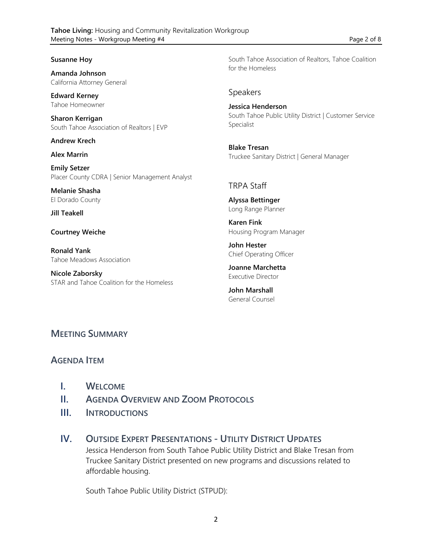#### **Susanne Hoy**

**Amanda Johnson** California Attorney General

**Edward Kerney** Tahoe Homeowner

**Sharon Kerrigan** South Tahoe Association of Realtors | EVP

**Andrew Krech**

**Alex Marrin**

**Emily Setzer** Placer County CDRA | Senior Management Analyst

**Melanie Shasha** El Dorado County

**Jill Teakell**

**Courtney Weiche**

**Ronald Yank** Tahoe Meadows Association

**Nicole Zaborsky** STAR and Tahoe Coalition for the Homeless South Tahoe Association of Realtors, Tahoe Coalition for the Homeless

#### Speakers

**Jessica Henderson** South Tahoe Public Utility District | Customer Service Specialist

**Blake Tresan** Truckee Sanitary District | General Manager

#### TRPA Staff

**Alyssa Bettinger** Long Range Planner

**Karen Fink** Housing Program Manager

**John Hester** Chief Operating Officer

**Joanne Marchetta** Executive Director

**John Marshall** General Counsel

### **MEETING SUMMARY**

### **AGENDA ITEM**

- **I. WELCOME**
- **II. AGENDA OVERVIEW AND ZOOM PROTOCOLS**
- **III. INTRODUCTIONS**
- **IV. OUTSIDE EXPERT PRESENTATIONS - UTILITY DISTRICT UPDATES** Jessica Henderson from South Tahoe Public Utility District and Blake Tresan from Truckee Sanitary District presented on new programs and discussions related to affordable housing.

South Tahoe Public Utility District (STPUD):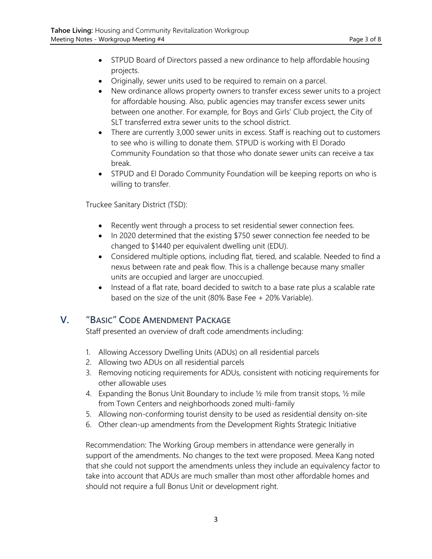- STPUD Board of Directors passed a new ordinance to help affordable housing projects.
- Originally, sewer units used to be required to remain on a parcel.
- New ordinance allows property owners to transfer excess sewer units to a project for affordable housing. Also, public agencies may transfer excess sewer units between one another. For example, for Boys and Girls' Club project, the City of SLT transferred extra sewer units to the school district.
- There are currently 3,000 sewer units in excess. Staff is reaching out to customers to see who is willing to donate them. STPUD is working with El Dorado Community Foundation so that those who donate sewer units can receive a tax break.
- STPUD and El Dorado Community Foundation will be keeping reports on who is willing to transfer.

Truckee Sanitary District (TSD):

- Recently went through a process to set residential sewer connection fees.
- In 2020 determined that the existing \$750 sewer connection fee needed to be changed to \$1440 per equivalent dwelling unit (EDU).
- Considered multiple options, including flat, tiered, and scalable. Needed to find a nexus between rate and peak flow. This is a challenge because many smaller units are occupied and larger are unoccupied.
- Instead of a flat rate, board decided to switch to a base rate plus a scalable rate based on the size of the unit (80% Base Fee + 20% Variable).

## **V. "BASIC" CODE AMENDMENT PACKAGE**

Staff presented an overview of draft code amendments including:

- 1. Allowing Accessory Dwelling Units (ADUs) on all residential parcels
- 2. Allowing two ADUs on all residential parcels
- 3. Removing noticing requirements for ADUs, consistent with noticing requirements for other allowable uses
- 4. Expanding the Bonus Unit Boundary to include ½ mile from transit stops, ½ mile from Town Centers and neighborhoods zoned multi-family
- 5. Allowing non-conforming tourist density to be used as residential density on-site
- 6. Other clean-up amendments from the Development Rights Strategic Initiative

Recommendation: The Working Group members in attendance were generally in support of the amendments. No changes to the text were proposed. Meea Kang noted that she could not support the amendments unless they include an equivalency factor to take into account that ADUs are much smaller than most other affordable homes and should not require a full Bonus Unit or development right.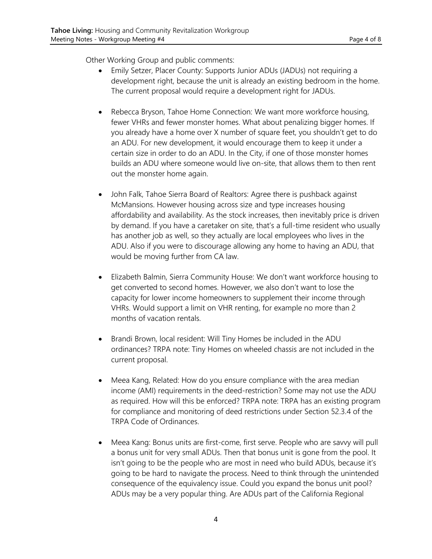Other Working Group and public comments:

- Emily Setzer, Placer County: Supports Junior ADUs (JADUs) not requiring a development right, because the unit is already an existing bedroom in the home. The current proposal would require a development right for JADUs.
- Rebecca Bryson, Tahoe Home Connection: We want more workforce housing, fewer VHRs and fewer monster homes. What about penalizing bigger homes. If you already have a home over X number of square feet, you shouldn't get to do an ADU. For new development, it would encourage them to keep it under a certain size in order to do an ADU. In the City, if one of those monster homes builds an ADU where someone would live on-site, that allows them to then rent out the monster home again.
- John Falk, Tahoe Sierra Board of Realtors: Agree there is pushback against McMansions. However housing across size and type increases housing affordability and availability. As the stock increases, then inevitably price is driven by demand. If you have a caretaker on site, that's a full-time resident who usually has another job as well, so they actually are local employees who lives in the ADU. Also if you were to discourage allowing any home to having an ADU, that would be moving further from CA law.
- Elizabeth Balmin, Sierra Community House: We don't want workforce housing to get converted to second homes. However, we also don't want to lose the capacity for lower income homeowners to supplement their income through VHRs. Would support a limit on VHR renting, for example no more than 2 months of vacation rentals.
- Brandi Brown, local resident: Will Tiny Homes be included in the ADU ordinances? TRPA note: Tiny Homes on wheeled chassis are not included in the current proposal.
- Meea Kang, Related: How do you ensure compliance with the area median income (AMI) requirements in the deed-restriction? Some may not use the ADU as required. How will this be enforced? TRPA note: TRPA has an existing program for compliance and monitoring of deed restrictions under Section 52.3.4 of the TRPA Code of Ordinances.
- Meea Kang: Bonus units are first-come, first serve. People who are savvy will pull a bonus unit for very small ADUs. Then that bonus unit is gone from the pool. It isn't going to be the people who are most in need who build ADUs, because it's going to be hard to navigate the process. Need to think through the unintended consequence of the equivalency issue. Could you expand the bonus unit pool? ADUs may be a very popular thing. Are ADUs part of the California Regional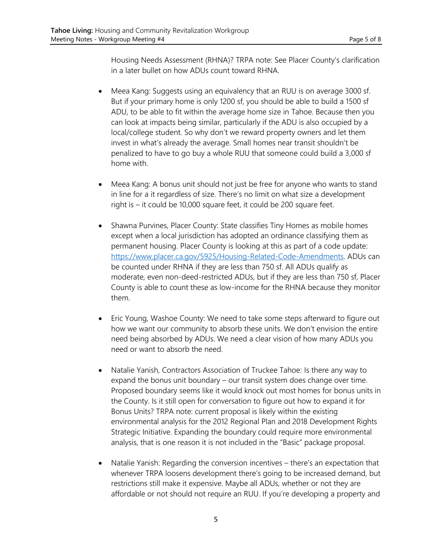Housing Needs Assessment (RHNA)? TRPA note: See Placer County's clarification in a later bullet on how ADUs count toward RHNA.

- Meea Kang: Suggests using an equivalency that an RUU is on average 3000 sf. But if your primary home is only 1200 sf, you should be able to build a 1500 sf ADU, to be able to fit within the average home size in Tahoe. Because then you can look at impacts being similar, particularly if the ADU is also occupied by a local/college student. So why don't we reward property owners and let them invest in what's already the average. Small homes near transit shouldn't be penalized to have to go buy a whole RUU that someone could build a 3,000 sf home with.
- Meea Kang: A bonus unit should not just be free for anyone who wants to stand in line for a it regardless of size. There's no limit on what size a development right is – it could be 10,000 square feet, it could be 200 square feet.
- Shawna Purvines, Placer County: State classifies Tiny Homes as mobile homes except when a local jurisdiction has adopted an ordinance classifying them as permanent housing. Placer County is looking at this as part of a code update: [https://www.placer.ca.gov/5925/Housing-Related-Code-Amendments.](https://www.placer.ca.gov/5925/Housing-Related-Code-Amendments) ADUs can be counted under RHNA if they are less than 750 sf. All ADUs qualify as moderate, even non-deed-restricted ADUs, but if they are less than 750 sf, Placer County is able to count these as low-income for the RHNA because they monitor them.
- Eric Young, Washoe County: We need to take some steps afterward to figure out how we want our community to absorb these units. We don't envision the entire need being absorbed by ADUs. We need a clear vision of how many ADUs you need or want to absorb the need.
- Natalie Yanish, Contractors Association of Truckee Tahoe: Is there any way to expand the bonus unit boundary – our transit system does change over time. Proposed boundary seems like it would knock out most homes for bonus units in the County. Is it still open for conversation to figure out how to expand it for Bonus Units? TRPA note: current proposal is likely within the existing environmental analysis for the 2012 Regional Plan and 2018 Development Rights Strategic Initiative. Expanding the boundary could require more environmental analysis, that is one reason it is not included in the "Basic" package proposal.
- Natalie Yanish: Regarding the conversion incentives there's an expectation that whenever TRPA loosens development there's going to be increased demand, but restrictions still make it expensive. Maybe all ADUs, whether or not they are affordable or not should not require an RUU. If you're developing a property and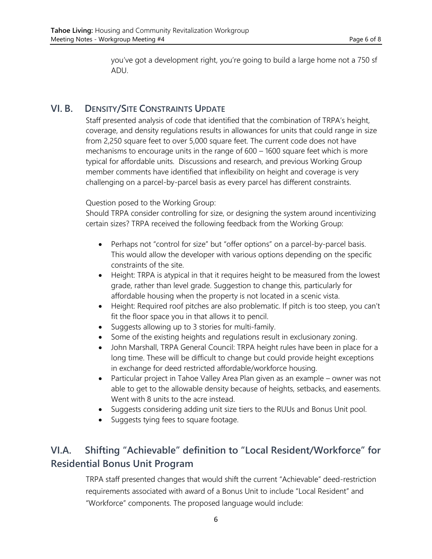you've got a development right, you're going to build a large home not a 750 sf ADU.

### **VI. B. DENSITY/SITE CONSTRAINTS UPDATE**

Staff presented analysis of code that identified that the combination of TRPA's height, coverage, and density regulations results in allowances for units that could range in size from 2,250 square feet to over 5,000 square feet. The current code does not have mechanisms to encourage units in the range of 600 – 1600 square feet which is more typical for affordable units. Discussions and research, and previous Working Group member comments have identified that inflexibility on height and coverage is very challenging on a parcel-by-parcel basis as every parcel has different constraints.

Question posed to the Working Group:

Should TRPA consider controlling for size, or designing the system around incentivizing certain sizes? TRPA received the following feedback from the Working Group:

- Perhaps not "control for size" but "offer options" on a parcel-by-parcel basis. This would allow the developer with various options depending on the specific constraints of the site.
- Height: TRPA is atypical in that it requires height to be measured from the lowest grade, rather than level grade. Suggestion to change this, particularly for affordable housing when the property is not located in a scenic vista.
- Height: Required roof pitches are also problematic. If pitch is too steep, you can't fit the floor space you in that allows it to pencil.
- Suggests allowing up to 3 stories for multi-family.
- Some of the existing heights and regulations result in exclusionary zoning.
- John Marshall, TRPA General Council: TRPA height rules have been in place for a long time. These will be difficult to change but could provide height exceptions in exchange for deed restricted affordable/workforce housing.
- Particular project in Tahoe Valley Area Plan given as an example owner was not able to get to the allowable density because of heights, setbacks, and easements. Went with 8 units to the acre instead.
- Suggests considering adding unit size tiers to the RUUs and Bonus Unit pool.
- Suggests tying fees to square footage.

# **VI.A. Shifting "Achievable" definition to "Local Resident/Workforce" for Residential Bonus Unit Program**

TRPA staff presented changes that would shift the current "Achievable" deed-restriction requirements associated with award of a Bonus Unit to include "Local Resident" and "Workforce" components. The proposed language would include: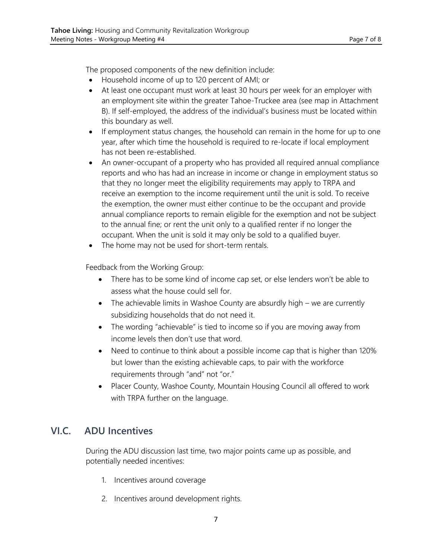The proposed components of the new definition include:

- Household income of up to 120 percent of AMI; or
- At least one occupant must work at least 30 hours per week for an employer with an employment site within the greater Tahoe-Truckee area (see map in Attachment B). If self-employed, the address of the individual's business must be located within this boundary as well.
- If employment status changes, the household can remain in the home for up to one year, after which time the household is required to re-locate if local employment has not been re-established.
- An owner-occupant of a property who has provided all required annual compliance reports and who has had an increase in income or change in employment status so that they no longer meet the eligibility requirements may apply to TRPA and receive an exemption to the income requirement until the unit is sold. To receive the exemption, the owner must either continue to be the occupant and provide annual compliance reports to remain eligible for the exemption and not be subject to the annual fine; or rent the unit only to a qualified renter if no longer the occupant. When the unit is sold it may only be sold to a qualified buyer.
- The home may not be used for short-term rentals.

Feedback from the Working Group:

- There has to be some kind of income cap set, or else lenders won't be able to assess what the house could sell for.
- The achievable limits in Washoe County are absurdly high we are currently subsidizing households that do not need it.
- The wording "achievable" is tied to income so if you are moving away from income levels then don't use that word.
- Need to continue to think about a possible income cap that is higher than 120% but lower than the existing achievable caps, to pair with the workforce requirements through "and" not "or."
- Placer County, Washoe County, Mountain Housing Council all offered to work with TRPA further on the language.

## **VI.C. ADU Incentives**

During the ADU discussion last time, two major points came up as possible, and potentially needed incentives:

- 1. Incentives around coverage
- 2. Incentives around development rights.